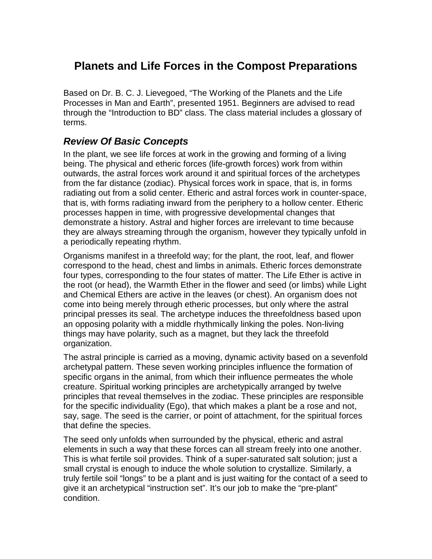## **Planets and Life Forces in the Compost Preparations**

Based on Dr. B. C. J. Lievegoed, "The Working of the Planets and the Life Processes in Man and Earth", presented 1951. Beginners are advised to read through the "Introduction to BD" class. The class material includes a glossary of terms.

## **Review Of Basic Concepts**

In the plant, we see life forces at work in the growing and forming of a living being. The physical and etheric forces (life-growth forces) work from within outwards, the astral forces work around it and spiritual forces of the archetypes from the far distance (zodiac). Physical forces work in space, that is, in forms radiating out from a solid center. Etheric and astral forces work in counter-space, that is, with forms radiating inward from the periphery to a hollow center. Etheric processes happen in time, with progressive developmental changes that demonstrate a history. Astral and higher forces are irrelevant to time because they are always streaming through the organism, however they typically unfold in a periodically repeating rhythm.

Organisms manifest in a threefold way; for the plant, the root, leaf, and flower correspond to the head, chest and limbs in animals. Etheric forces demonstrate four types, corresponding to the four states of matter. The Life Ether is active in the root (or head), the Warmth Ether in the flower and seed (or limbs) while Light and Chemical Ethers are active in the leaves (or chest). An organism does not come into being merely through etheric processes, but only where the astral principal presses its seal. The archetype induces the threefoldness based upon an opposing polarity with a middle rhythmically linking the poles. Non-living things may have polarity, such as a magnet, but they lack the threefold organization.

The astral principle is carried as a moving, dynamic activity based on a sevenfold archetypal pattern. These seven working principles influence the formation of specific organs in the animal, from which their influence permeates the whole creature. Spiritual working principles are archetypically arranged by twelve principles that reveal themselves in the zodiac. These principles are responsible for the specific individuality (Ego), that which makes a plant be a rose and not, say, sage. The seed is the carrier, or point of attachment, for the spiritual forces that define the species.

The seed only unfolds when surrounded by the physical, etheric and astral elements in such a way that these forces can all stream freely into one another. This is what fertile soil provides. Think of a super-saturated salt solution; just a small crystal is enough to induce the whole solution to crystallize. Similarly, a truly fertile soil "longs" to be a plant and is just waiting for the contact of a seed to give it an archetypical "instruction set". It's our job to make the "pre-plant" condition.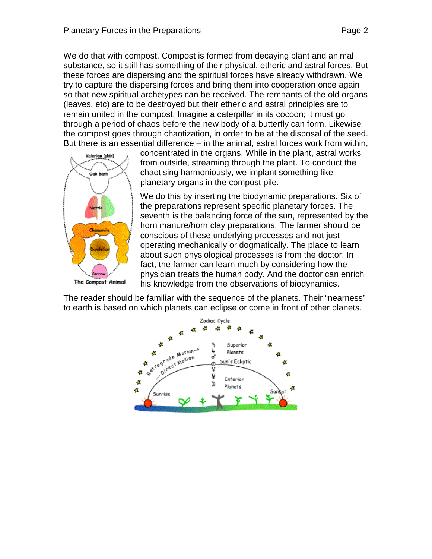We do that with compost. Compost is formed from decaying plant and animal substance, so it still has something of their physical, etheric and astral forces. But these forces are dispersing and the spiritual forces have already withdrawn. We try to capture the dispersing forces and bring them into cooperation once again so that new spiritual archetypes can be received. The remnants of the old organs (leaves, etc) are to be destroyed but their etheric and astral principles are to remain united in the compost. Imagine a caterpillar in its cocoon; it must go through a period of chaos before the new body of a butterfly can form. Likewise the compost goes through chaotization, in order to be at the disposal of the seed. But there is an essential difference – in the animal, astral forces work from within,



concentrated in the organs. While in the plant, astral works from outside, streaming through the plant. To conduct the chaotising harmoniously, we implant something like planetary organs in the compost pile.

We do this by inserting the biodynamic preparations. Six of the preparations represent specific planetary forces. The seventh is the balancing force of the sun, represented by the horn manure/horn clay preparations. The farmer should be conscious of these underlying processes and not just operating mechanically or dogmatically. The place to learn about such physiological processes is from the doctor. In fact, the farmer can learn much by considering how the physician treats the human body. And the doctor can enrich his knowledge from the observations of biodynamics.

The reader should be familiar with the sequence of the planets. Their "nearness" to earth is based on which planets can eclipse or come in front of other planets.

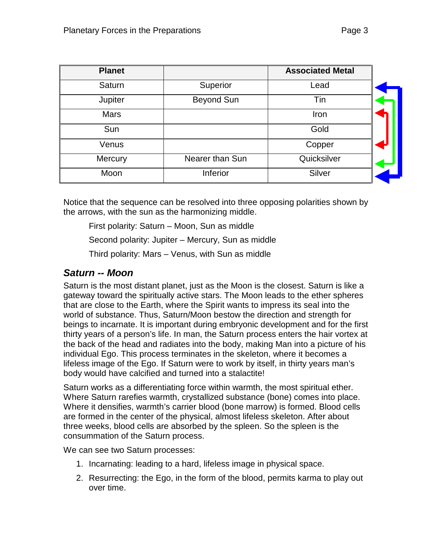| <b>Planet</b> |                   | <b>Associated Metal</b> |  |
|---------------|-------------------|-------------------------|--|
| Saturn        | Superior          | Lead                    |  |
| Jupiter       | <b>Beyond Sun</b> | Tin                     |  |
| <b>Mars</b>   |                   | Iron                    |  |
| Sun           |                   | Gold                    |  |
| Venus         |                   | Copper                  |  |
| Mercury       | Nearer than Sun   | Quicksilver             |  |
| Moon          | Inferior          | Silver                  |  |

Notice that the sequence can be resolved into three opposing polarities shown by the arrows, with the sun as the harmonizing middle.

First polarity: Saturn – Moon, Sun as middle

Second polarity: Jupiter – Mercury, Sun as middle

Third polarity: Mars – Venus, with Sun as middle

## **Saturn -- Moon**

Saturn is the most distant planet, just as the Moon is the closest. Saturn is like a gateway toward the spiritually active stars. The Moon leads to the ether spheres that are close to the Earth, where the Spirit wants to impress its seal into the world of substance. Thus, Saturn/Moon bestow the direction and strength for beings to incarnate. It is important during embryonic development and for the first thirty years of a person's life. In man, the Saturn process enters the hair vortex at the back of the head and radiates into the body, making Man into a picture of his individual Ego. This process terminates in the skeleton, where it becomes a lifeless image of the Ego. If Saturn were to work by itself, in thirty years man's body would have calcified and turned into a stalactite!

Saturn works as a differentiating force within warmth, the most spiritual ether. Where Saturn rarefies warmth, crystallized substance (bone) comes into place. Where it densifies, warmth's carrier blood (bone marrow) is formed. Blood cells are formed in the center of the physical, almost lifeless skeleton. After about three weeks, blood cells are absorbed by the spleen. So the spleen is the consummation of the Saturn process.

We can see two Saturn processes:

- 1. Incarnating: leading to a hard, lifeless image in physical space.
- 2. Resurrecting: the Ego, in the form of the blood, permits karma to play out over time.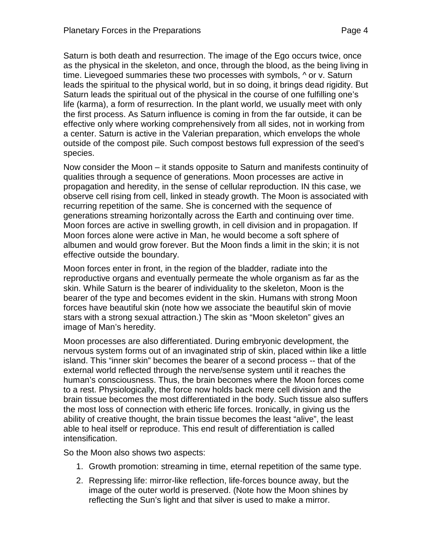Saturn is both death and resurrection. The image of the Ego occurs twice, once as the physical in the skeleton, and once, through the blood, as the being living in time. Lievegoed summaries these two processes with symbols, ^ or v. Saturn leads the spiritual to the physical world, but in so doing, it brings dead rigidity. But Saturn leads the spiritual out of the physical in the course of one fulfilling one's life (karma), a form of resurrection. In the plant world, we usually meet with only the first process. As Saturn influence is coming in from the far outside, it can be effective only where working comprehensively from all sides, not in working from a center. Saturn is active in the Valerian preparation, which envelops the whole outside of the compost pile. Such compost bestows full expression of the seed's species.

Now consider the Moon – it stands opposite to Saturn and manifests continuity of qualities through a sequence of generations. Moon processes are active in propagation and heredity, in the sense of cellular reproduction. IN this case, we observe cell rising from cell, linked in steady growth. The Moon is associated with recurring repetition of the same. She is concerned with the sequence of generations streaming horizontally across the Earth and continuing over time. Moon forces are active in swelling growth, in cell division and in propagation. If Moon forces alone were active in Man, he would become a soft sphere of albumen and would grow forever. But the Moon finds a limit in the skin; it is not effective outside the boundary.

Moon forces enter in front, in the region of the bladder, radiate into the reproductive organs and eventually permeate the whole organism as far as the skin. While Saturn is the bearer of individuality to the skeleton, Moon is the bearer of the type and becomes evident in the skin. Humans with strong Moon forces have beautiful skin (note how we associate the beautiful skin of movie stars with a strong sexual attraction.) The skin as "Moon skeleton" gives an image of Man's heredity.

Moon processes are also differentiated. During embryonic development, the nervous system forms out of an invaginated strip of skin, placed within like a little island. This "inner skin" becomes the bearer of a second process -- that of the external world reflected through the nerve/sense system until it reaches the human's consciousness. Thus, the brain becomes where the Moon forces come to a rest. Physiologically, the force now holds back mere cell division and the brain tissue becomes the most differentiated in the body. Such tissue also suffers the most loss of connection with etheric life forces. Ironically, in giving us the ability of creative thought, the brain tissue becomes the least "alive", the least able to heal itself or reproduce. This end result of differentiation is called intensification.

So the Moon also shows two aspects:

- 1. Growth promotion: streaming in time, eternal repetition of the same type.
- 2. Repressing life: mirror-like reflection, life-forces bounce away, but the image of the outer world is preserved. (Note how the Moon shines by reflecting the Sun's light and that silver is used to make a mirror.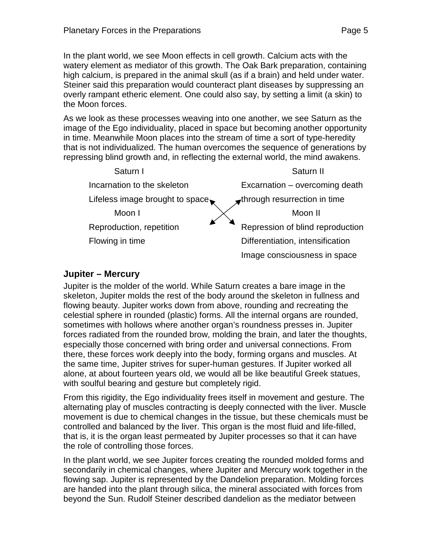In the plant world, we see Moon effects in cell growth. Calcium acts with the watery element as mediator of this growth. The Oak Bark preparation, containing high calcium, is prepared in the animal skull (as if a brain) and held under water. Steiner said this preparation would counteract plant diseases by suppressing an overly rampant etheric element. One could also say, by setting a limit (a skin) to the Moon forces.

As we look as these processes weaving into one another, we see Saturn as the image of the Ego individuality, placed in space but becoming another opportunity in time. Meanwhile Moon places into the stream of time a sort of type-heredity that is not individualized. The human overcomes the sequence of generations by repressing blind growth and, in reflecting the external world, the mind awakens.



#### **Jupiter – Mercury**

Jupiter is the molder of the world. While Saturn creates a bare image in the skeleton, Jupiter molds the rest of the body around the skeleton in fullness and flowing beauty. Jupiter works down from above, rounding and recreating the celestial sphere in rounded (plastic) forms. All the internal organs are rounded, sometimes with hollows where another organ's roundness presses in. Jupiter forces radiated from the rounded brow, molding the brain, and later the thoughts, especially those concerned with bring order and universal connections. From there, these forces work deeply into the body, forming organs and muscles. At the same time, Jupiter strives for super-human gestures. If Jupiter worked all alone, at about fourteen years old, we would all be like beautiful Greek statues, with soulful bearing and gesture but completely rigid.

From this rigidity, the Ego individuality frees itself in movement and gesture. The alternating play of muscles contracting is deeply connected with the liver. Muscle movement is due to chemical changes in the tissue, but these chemicals must be controlled and balanced by the liver. This organ is the most fluid and life-filled, that is, it is the organ least permeated by Jupiter processes so that it can have the role of controlling those forces.

In the plant world, we see Jupiter forces creating the rounded molded forms and secondarily in chemical changes, where Jupiter and Mercury work together in the flowing sap. Jupiter is represented by the Dandelion preparation. Molding forces are handed into the plant through silica, the mineral associated with forces from beyond the Sun. Rudolf Steiner described dandelion as the mediator between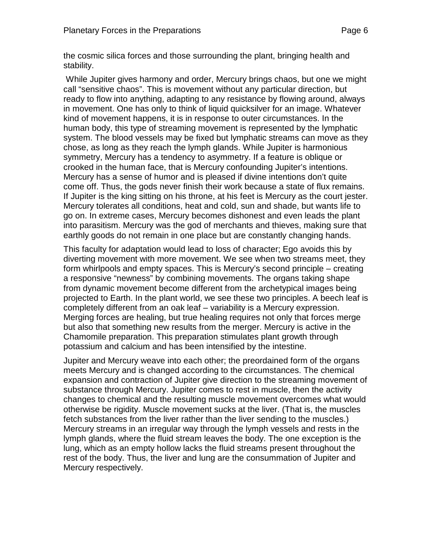the cosmic silica forces and those surrounding the plant, bringing health and stability.

While Jupiter gives harmony and order, Mercury brings chaos, but one we might call "sensitive chaos". This is movement without any particular direction, but ready to flow into anything, adapting to any resistance by flowing around, always in movement. One has only to think of liquid quicksilver for an image. Whatever kind of movement happens, it is in response to outer circumstances. In the human body, this type of streaming movement is represented by the lymphatic system. The blood vessels may be fixed but lymphatic streams can move as they chose, as long as they reach the lymph glands. While Jupiter is harmonious symmetry, Mercury has a tendency to asymmetry. If a feature is oblique or crooked in the human face, that is Mercury confounding Jupiter's intentions. Mercury has a sense of humor and is pleased if divine intentions don't quite come off. Thus, the gods never finish their work because a state of flux remains. If Jupiter is the king sitting on his throne, at his feet is Mercury as the court jester. Mercury tolerates all conditions, heat and cold, sun and shade, but wants life to go on. In extreme cases, Mercury becomes dishonest and even leads the plant into parasitism. Mercury was the god of merchants and thieves, making sure that earthly goods do not remain in one place but are constantly changing hands.

This faculty for adaptation would lead to loss of character; Ego avoids this by diverting movement with more movement. We see when two streams meet, they form whirlpools and empty spaces. This is Mercury's second principle – creating a responsive "newness" by combining movements. The organs taking shape from dynamic movement become different from the archetypical images being projected to Earth. In the plant world, we see these two principles. A beech leaf is completely different from an oak leaf – variability is a Mercury expression. Merging forces are healing, but true healing requires not only that forces merge but also that something new results from the merger. Mercury is active in the Chamomile preparation. This preparation stimulates plant growth through potassium and calcium and has been intensified by the intestine.

Jupiter and Mercury weave into each other; the preordained form of the organs meets Mercury and is changed according to the circumstances. The chemical expansion and contraction of Jupiter give direction to the streaming movement of substance through Mercury. Jupiter comes to rest in muscle, then the activity changes to chemical and the resulting muscle movement overcomes what would otherwise be rigidity. Muscle movement sucks at the liver. (That is, the muscles fetch substances from the liver rather than the liver sending to the muscles.) Mercury streams in an irregular way through the lymph vessels and rests in the lymph glands, where the fluid stream leaves the body. The one exception is the lung, which as an empty hollow lacks the fluid streams present throughout the rest of the body. Thus, the liver and lung are the consummation of Jupiter and Mercury respectively.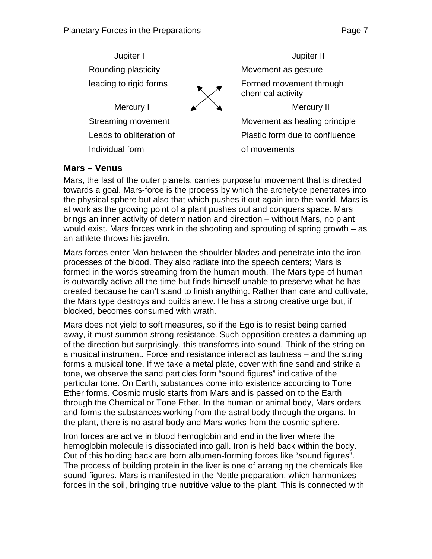Jupiter I Jupiter II Rounding plasticity **Movement** as gesture leading to rigid forms **Formed movement through** chemical activity Mercury I  $\angle$   $\angle$ Streaming movement Movement as healing principle Leads to obliteration of Plastic form due to confluence Individual form of movements

#### **Mars – Venus**

Mars, the last of the outer planets, carries purposeful movement that is directed towards a goal. Mars-force is the process by which the archetype penetrates into the physical sphere but also that which pushes it out again into the world. Mars is at work as the growing point of a plant pushes out and conquers space. Mars brings an inner activity of determination and direction – without Mars, no plant would exist. Mars forces work in the shooting and sprouting of spring growth – as an athlete throws his javelin.

Mars forces enter Man between the shoulder blades and penetrate into the iron processes of the blood. They also radiate into the speech centers; Mars is formed in the words streaming from the human mouth. The Mars type of human is outwardly active all the time but finds himself unable to preserve what he has created because he can't stand to finish anything. Rather than care and cultivate, the Mars type destroys and builds anew. He has a strong creative urge but, if blocked, becomes consumed with wrath.

Mars does not yield to soft measures, so if the Ego is to resist being carried away, it must summon strong resistance. Such opposition creates a damming up of the direction but surprisingly, this transforms into sound. Think of the string on a musical instrument. Force and resistance interact as tautness – and the string forms a musical tone. If we take a metal plate, cover with fine sand and strike a tone, we observe the sand particles form "sound figures" indicative of the particular tone. On Earth, substances come into existence according to Tone Ether forms. Cosmic music starts from Mars and is passed on to the Earth through the Chemical or Tone Ether. In the human or animal body, Mars orders and forms the substances working from the astral body through the organs. In the plant, there is no astral body and Mars works from the cosmic sphere.

Iron forces are active in blood hemoglobin and end in the liver where the hemoglobin molecule is dissociated into gall. Iron is held back within the body. Out of this holding back are born albumen-forming forces like "sound figures". The process of building protein in the liver is one of arranging the chemicals like sound figures. Mars is manifested in the Nettle preparation, which harmonizes forces in the soil, bringing true nutritive value to the plant. This is connected with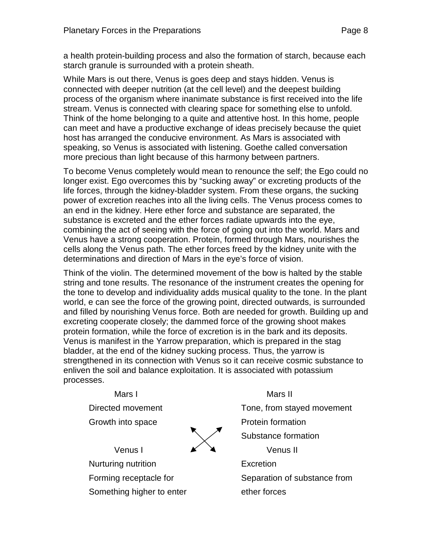a health protein-building process and also the formation of starch, because each starch granule is surrounded with a protein sheath.

While Mars is out there, Venus is goes deep and stays hidden. Venus is connected with deeper nutrition (at the cell level) and the deepest building process of the organism where inanimate substance is first received into the life stream. Venus is connected with clearing space for something else to unfold. Think of the home belonging to a quite and attentive host. In this home, people can meet and have a productive exchange of ideas precisely because the quiet host has arranged the conducive environment. As Mars is associated with speaking, so Venus is associated with listening. Goethe called conversation more precious than light because of this harmony between partners.

To become Venus completely would mean to renounce the self; the Ego could no longer exist. Ego overcomes this by "sucking away" or excreting products of the life forces, through the kidney-bladder system. From these organs, the sucking power of excretion reaches into all the living cells. The Venus process comes to an end in the kidney. Here ether force and substance are separated, the substance is excreted and the ether forces radiate upwards into the eye, combining the act of seeing with the force of going out into the world. Mars and Venus have a strong cooperation. Protein, formed through Mars, nourishes the cells along the Venus path. The ether forces freed by the kidney unite with the determinations and direction of Mars in the eye's force of vision.

Think of the violin. The determined movement of the bow is halted by the stable string and tone results. The resonance of the instrument creates the opening for the tone to develop and individuality adds musical quality to the tone. In the plant world, e can see the force of the growing point, directed outwards, is surrounded and filled by nourishing Venus force. Both are needed for growth. Building up and excreting cooperate closely; the dammed force of the growing shoot makes protein formation, while the force of excretion is in the bark and its deposits. Venus is manifest in the Yarrow preparation, which is prepared in the stag bladder, at the end of the kidney sucking process. Thus, the yarrow is strengthened in its connection with Venus so it can receive cosmic substance to enliven the soil and balance exploitation. It is associated with potassium processes.

Mars I Mars II Directed movement Tone, from stayed movement Growth into space **Protein formation** Substance formation Venus I  $\angle$   $\angle$   $\angle$   $\angle$  Venus II Nurturing nutrition **Excretion** Forming receptacle for Separation of substance from Something higher to enter ether forces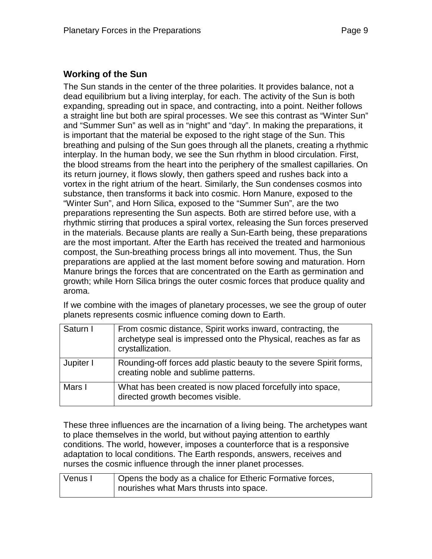#### **Working of the Sun**

The Sun stands in the center of the three polarities. It provides balance, not a dead equilibrium but a living interplay, for each. The activity of the Sun is both expanding, spreading out in space, and contracting, into a point. Neither follows a straight line but both are spiral processes. We see this contrast as "Winter Sun" and "Summer Sun" as well as in "night" and "day". In making the preparations, it is important that the material be exposed to the right stage of the Sun. This breathing and pulsing of the Sun goes through all the planets, creating a rhythmic interplay. In the human body, we see the Sun rhythm in blood circulation. First, the blood streams from the heart into the periphery of the smallest capillaries. On its return journey, it flows slowly, then gathers speed and rushes back into a vortex in the right atrium of the heart. Similarly, the Sun condenses cosmos into substance, then transforms it back into cosmic. Horn Manure, exposed to the "Winter Sun", and Horn Silica, exposed to the "Summer Sun", are the two preparations representing the Sun aspects. Both are stirred before use, with a rhythmic stirring that produces a spiral vortex, releasing the Sun forces preserved in the materials. Because plants are really a Sun-Earth being, these preparations are the most important. After the Earth has received the treated and harmonious compost, the Sun-breathing process brings all into movement. Thus, the Sun preparations are applied at the last moment before sowing and maturation. Horn Manure brings the forces that are concentrated on the Earth as germination and growth; while Horn Silica brings the outer cosmic forces that produce quality and aroma.

If we combine with the images of planetary processes, we see the group of outer planets represents cosmic influence coming down to Earth.

| Saturn I  | From cosmic distance, Spirit works inward, contracting, the<br>archetype seal is impressed onto the Physical, reaches as far as<br>crystallization. |
|-----------|-----------------------------------------------------------------------------------------------------------------------------------------------------|
| Jupiter I | Rounding-off forces add plastic beauty to the severe Spirit forms,<br>creating noble and sublime patterns.                                          |
| Mars I    | What has been created is now placed forcefully into space,<br>directed growth becomes visible.                                                      |

These three influences are the incarnation of a living being. The archetypes want to place themselves in the world, but without paying attention to earthly conditions. The world, however, imposes a counterforce that is a responsive adaptation to local conditions. The Earth responds, answers, receives and nurses the cosmic influence through the inner planet processes.

| Venus I | Opens the body as a chalice for Etheric Formative forces, |
|---------|-----------------------------------------------------------|
|         | nourishes what Mars thrusts into space.                   |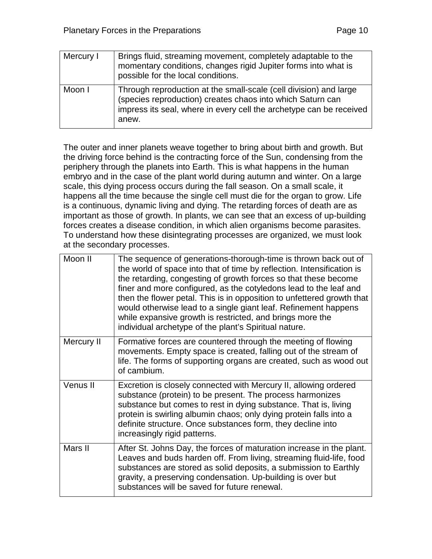| Mercury I | Brings fluid, streaming movement, completely adaptable to the<br>momentary conditions, changes rigid Jupiter forms into what is<br>possible for the local conditions.                                           |
|-----------|-----------------------------------------------------------------------------------------------------------------------------------------------------------------------------------------------------------------|
| Moon I    | Through reproduction at the small-scale (cell division) and large<br>(species reproduction) creates chaos into which Saturn can<br>impress its seal, where in every cell the archetype can be received<br>anew. |

The outer and inner planets weave together to bring about birth and growth. But the driving force behind is the contracting force of the Sun, condensing from the periphery through the planets into Earth. This is what happens in the human embryo and in the case of the plant world during autumn and winter. On a large scale, this dying process occurs during the fall season. On a small scale, it happens all the time because the single cell must die for the organ to grow. Life is a continuous, dynamic living and dying. The retarding forces of death are as important as those of growth. In plants, we can see that an excess of up-building forces creates a disease condition, in which alien organisms become parasites. To understand how these disintegrating processes are organized, we must look at the secondary processes.

| Moon II    | The sequence of generations-thorough-time is thrown back out of<br>the world of space into that of time by reflection. Intensification is<br>the retarding, congesting of growth forces so that these become<br>finer and more configured, as the cotyledons lead to the leaf and<br>then the flower petal. This is in opposition to unfettered growth that<br>would otherwise lead to a single giant leaf. Refinement happens<br>while expansive growth is restricted, and brings more the<br>individual archetype of the plant's Spiritual nature. |
|------------|------------------------------------------------------------------------------------------------------------------------------------------------------------------------------------------------------------------------------------------------------------------------------------------------------------------------------------------------------------------------------------------------------------------------------------------------------------------------------------------------------------------------------------------------------|
| Mercury II | Formative forces are countered through the meeting of flowing<br>movements. Empty space is created, falling out of the stream of<br>life. The forms of supporting organs are created, such as wood out<br>of cambium.                                                                                                                                                                                                                                                                                                                                |
| Venus II   | Excretion is closely connected with Mercury II, allowing ordered<br>substance (protein) to be present. The process harmonizes<br>substance but comes to rest in dying substance. That is, living<br>protein is swirling albumin chaos; only dying protein falls into a<br>definite structure. Once substances form, they decline into<br>increasingly rigid patterns.                                                                                                                                                                                |
| Mars II    | After St. Johns Day, the forces of maturation increase in the plant.<br>Leaves and buds harden off. From living, streaming fluid-life, food<br>substances are stored as solid deposits, a submission to Earthly<br>gravity, a preserving condensation. Up-building is over but<br>substances will be saved for future renewal.                                                                                                                                                                                                                       |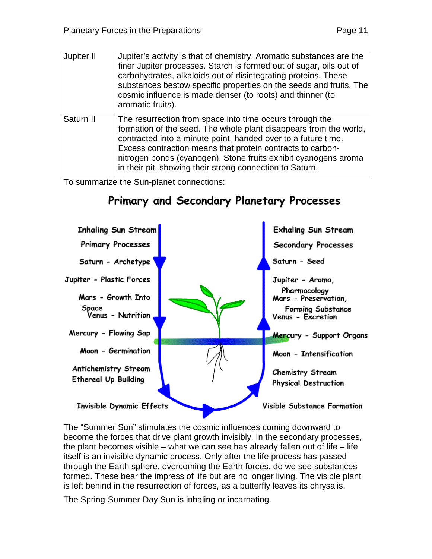| Page 11 |
|---------|
|---------|

| Jupiter II | Jupiter's activity is that of chemistry. Aromatic substances are the<br>finer Jupiter processes. Starch is formed out of sugar, oils out of<br>carbohydrates, alkaloids out of disintegrating proteins. These<br>substances bestow specific properties on the seeds and fruits. The<br>cosmic influence is made denser (to roots) and thinner (to<br>aromatic fruits).                      |
|------------|---------------------------------------------------------------------------------------------------------------------------------------------------------------------------------------------------------------------------------------------------------------------------------------------------------------------------------------------------------------------------------------------|
| Saturn II  | The resurrection from space into time occurs through the<br>formation of the seed. The whole plant disappears from the world,<br>contracted into a minute point, handed over to a future time.<br>Excess contraction means that protein contracts to carbon-<br>nitrogen bonds (cyanogen). Stone fruits exhibit cyanogens aroma<br>in their pit, showing their strong connection to Saturn. |

To summarize the Sun-planet connections:



# Primary and Secondary Planetary Processes

The "Summer Sun" stimulates the cosmic influences coming downward to become the forces that drive plant growth invisibly. In the secondary processes, the plant becomes visible – what we can see has already fallen out of life – life itself is an invisible dynamic process. Only after the life process has passed through the Earth sphere, overcoming the Earth forces, do we see substances formed. These bear the impress of life but are no longer living. The visible plant is left behind in the resurrection of forces, as a butterfly leaves its chrysalis.

The Spring-Summer-Day Sun is inhaling or incarnating.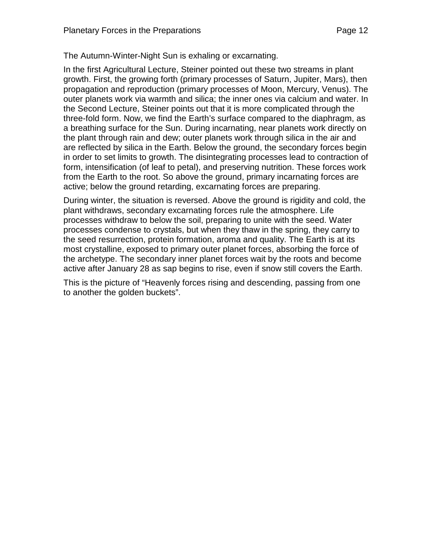The Autumn-Winter-Night Sun is exhaling or excarnating.

In the first Agricultural Lecture, Steiner pointed out these two streams in plant growth. First, the growing forth (primary processes of Saturn, Jupiter, Mars), then propagation and reproduction (primary processes of Moon, Mercury, Venus). The outer planets work via warmth and silica; the inner ones via calcium and water. In the Second Lecture, Steiner points out that it is more complicated through the three-fold form. Now, we find the Earth's surface compared to the diaphragm, as a breathing surface for the Sun. During incarnating, near planets work directly on the plant through rain and dew; outer planets work through silica in the air and are reflected by silica in the Earth. Below the ground, the secondary forces begin in order to set limits to growth. The disintegrating processes lead to contraction of form, intensification (of leaf to petal), and preserving nutrition. These forces work from the Earth to the root. So above the ground, primary incarnating forces are active; below the ground retarding, excarnating forces are preparing.

During winter, the situation is reversed. Above the ground is rigidity and cold, the plant withdraws, secondary excarnating forces rule the atmosphere. Life processes withdraw to below the soil, preparing to unite with the seed. Water processes condense to crystals, but when they thaw in the spring, they carry to the seed resurrection, protein formation, aroma and quality. The Earth is at its most crystalline, exposed to primary outer planet forces, absorbing the force of the archetype. The secondary inner planet forces wait by the roots and become active after January 28 as sap begins to rise, even if snow still covers the Earth.

This is the picture of "Heavenly forces rising and descending, passing from one to another the golden buckets".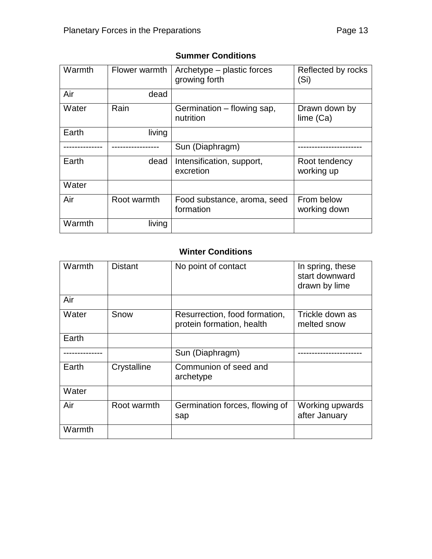| Warmth | Flower warmth | Archetype – plastic forces<br>growing forth | Reflected by rocks<br>(Si)  |
|--------|---------------|---------------------------------------------|-----------------------------|
| Air    | dead          |                                             |                             |
| Water  | Rain          | Germination - flowing sap,<br>nutrition     | Drawn down by<br>lime (Ca)  |
| Earth  | living        |                                             |                             |
|        |               | Sun (Diaphragm)                             |                             |
| Earth  | dead          | Intensification, support,<br>excretion      | Root tendency<br>working up |
| Water  |               |                                             |                             |
| Air    | Root warmth   | Food substance, aroma, seed<br>formation    | From below<br>working down  |
| Warmth | living        |                                             |                             |

#### **Summer Conditions**

## **Winter Conditions**

| Warmth | <b>Distant</b> | No point of contact                                        | In spring, these<br>start downward<br>drawn by lime |
|--------|----------------|------------------------------------------------------------|-----------------------------------------------------|
| Air    |                |                                                            |                                                     |
| Water  | Snow           | Resurrection, food formation,<br>protein formation, health | Trickle down as<br>melted snow                      |
| Earth  |                |                                                            |                                                     |
|        |                | Sun (Diaphragm)                                            |                                                     |
| Earth  | Crystalline    | Communion of seed and<br>archetype                         |                                                     |
| Water  |                |                                                            |                                                     |
| Air    | Root warmth    | Germination forces, flowing of<br>sap                      | Working upwards<br>after January                    |
| Warmth |                |                                                            |                                                     |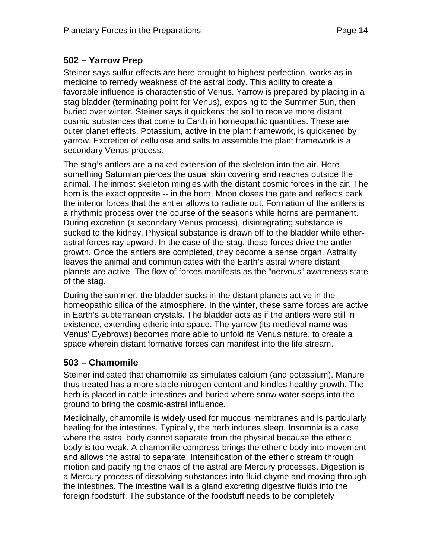## **502 – Yarrow Prep**

Steiner says sulfur effects are here brought to highest perfection, works as in medicine to remedy weakness of the astral body. This ability to create a favorable influence is characteristic of Venus. Yarrow is prepared by placing in a stag bladder (terminating point for Venus), exposing to the Summer Sun, then buried over winter. Steiner says it quickens the soil to receive more distant cosmic substances that come to Earth in homeopathic quantities. These are outer planet effects. Potassium, active in the plant framework, is quickened by yarrow. Excretion of cellulose and salts to assemble the plant framework is a secondary Venus process.

The stag's antlers are a naked extension of the skeleton into the air. Here something Saturnian pierces the usual skin covering and reaches outside the animal. The inmost skeleton mingles with the distant cosmic forces in the air. The horn is the exact opposite -- in the horn, Moon closes the gate and reflects back the interior forces that the antler allows to radiate out. Formation of the antlers is a rhythmic process over the course of the seasons while horns are permanent. During excretion (a secondary Venus process), disintegrating substance is sucked to the kidney. Physical substance is drawn off to the bladder while etherastral forces ray upward. In the case of the stag, these forces drive the antler growth. Once the antlers are completed, they become a sense organ. Astrality leaves the animal and communicates with the Earth's astral where distant planets are active. The flow of forces manifests as the "nervous" awareness state of the stag.

During the summer, the bladder sucks in the distant planets active in the homeopathic silica of the atmosphere. In the winter, these same forces are active in Earth's subterranean crystals. The bladder acts as if the antlers were still in existence, extending etheric into space. The yarrow (its medieval name was Venus' Eyebrows) becomes more able to unfold its Venus nature, to create a space wherein distant formative forces can manifest into the life stream.

## **503 – Chamomile**

Steiner indicated that chamomile as simulates calcium (and potassium). Manure thus treated has a more stable nitrogen content and kindles healthy growth. The herb is placed in cattle intestines and buried where snow water seeps into the ground to bring the cosmic-astral influence.

Medicinally, chamomile is widely used for mucous membranes and is particularly healing for the intestines. Typically, the herb induces sleep. Insomnia is a case where the astral body cannot separate from the physical because the etheric body is too weak. A chamomile compress brings the etheric body into movement and allows the astral to separate. Intensification of the etheric stream through motion and pacifying the chaos of the astral are Mercury processes. Digestion is a Mercury process of dissolving substances into fluid chyme and moving through the intestines. The intestine wall is a gland excreting digestive fluids into the foreign foodstuff. The substance of the foodstuff needs to be completely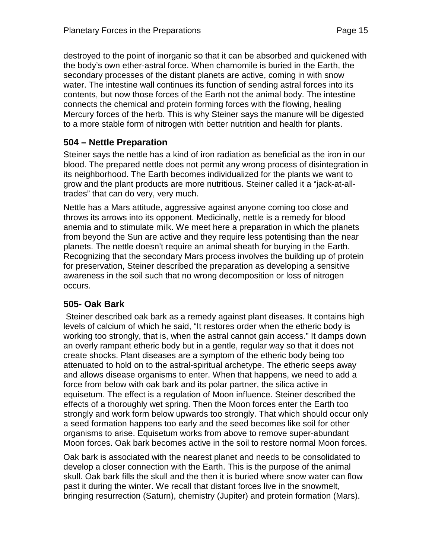destroyed to the point of inorganic so that it can be absorbed and quickened with the body's own ether-astral force. When chamomile is buried in the Earth, the secondary processes of the distant planets are active, coming in with snow water. The intestine wall continues its function of sending astral forces into its contents, but now those forces of the Earth not the animal body. The intestine connects the chemical and protein forming forces with the flowing, healing Mercury forces of the herb. This is why Steiner says the manure will be digested to a more stable form of nitrogen with better nutrition and health for plants.

### **504 – Nettle Preparation**

Steiner says the nettle has a kind of iron radiation as beneficial as the iron in our blood. The prepared nettle does not permit any wrong process of disintegration in its neighborhood. The Earth becomes individualized for the plants we want to grow and the plant products are more nutritious. Steiner called it a "jack-at-alltrades" that can do very, very much.

Nettle has a Mars attitude, aggressive against anyone coming too close and throws its arrows into its opponent. Medicinally, nettle is a remedy for blood anemia and to stimulate milk. We meet here a preparation in which the planets from beyond the Sun are active and they require less potentising than the near planets. The nettle doesn't require an animal sheath for burying in the Earth. Recognizing that the secondary Mars process involves the building up of protein for preservation, Steiner described the preparation as developing a sensitive awareness in the soil such that no wrong decomposition or loss of nitrogen occurs.

#### **505- Oak Bark**

Steiner described oak bark as a remedy against plant diseases. It contains high levels of calcium of which he said, "It restores order when the etheric body is working too strongly, that is, when the astral cannot gain access." It damps down an overly rampant etheric body but in a gentle, regular way so that it does not create shocks. Plant diseases are a symptom of the etheric body being too attenuated to hold on to the astral-spiritual archetype. The etheric seeps away and allows disease organisms to enter. When that happens, we need to add a force from below with oak bark and its polar partner, the silica active in equisetum. The effect is a regulation of Moon influence. Steiner described the effects of a thoroughly wet spring. Then the Moon forces enter the Earth too strongly and work form below upwards too strongly. That which should occur only a seed formation happens too early and the seed becomes like soil for other organisms to arise. Equisetum works from above to remove super-abundant Moon forces. Oak bark becomes active in the soil to restore normal Moon forces.

Oak bark is associated with the nearest planet and needs to be consolidated to develop a closer connection with the Earth. This is the purpose of the animal skull. Oak bark fills the skull and the then it is buried where snow water can flow past it during the winter. We recall that distant forces live in the snowmelt, bringing resurrection (Saturn), chemistry (Jupiter) and protein formation (Mars).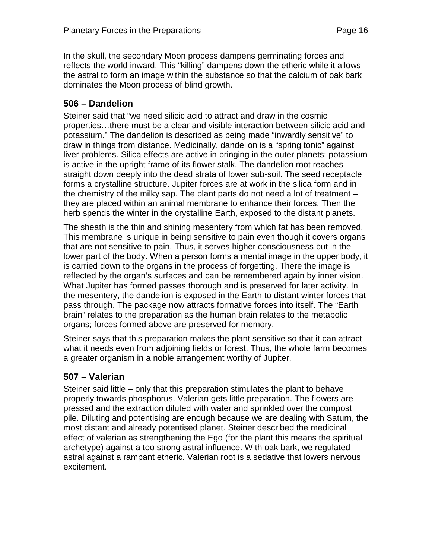In the skull, the secondary Moon process dampens germinating forces and reflects the world inward. This "killing" dampens down the etheric while it allows the astral to form an image within the substance so that the calcium of oak bark dominates the Moon process of blind growth.

## **506 – Dandelion**

Steiner said that "we need silicic acid to attract and draw in the cosmic properties…there must be a clear and visible interaction between silicic acid and potassium." The dandelion is described as being made "inwardly sensitive" to draw in things from distance. Medicinally, dandelion is a "spring tonic" against liver problems. Silica effects are active in bringing in the outer planets; potassium is active in the upright frame of its flower stalk. The dandelion root reaches straight down deeply into the dead strata of lower sub-soil. The seed receptacle forms a crystalline structure. Jupiter forces are at work in the silica form and in the chemistry of the milky sap. The plant parts do not need a lot of treatment – they are placed within an animal membrane to enhance their forces. Then the herb spends the winter in the crystalline Earth, exposed to the distant planets.

The sheath is the thin and shining mesentery from which fat has been removed. This membrane is unique in being sensitive to pain even though it covers organs that are not sensitive to pain. Thus, it serves higher consciousness but in the lower part of the body. When a person forms a mental image in the upper body, it is carried down to the organs in the process of forgetting. There the image is reflected by the organ's surfaces and can be remembered again by inner vision. What Jupiter has formed passes thorough and is preserved for later activity. In the mesentery, the dandelion is exposed in the Earth to distant winter forces that pass through. The package now attracts formative forces into itself. The "Earth brain" relates to the preparation as the human brain relates to the metabolic organs; forces formed above are preserved for memory.

Steiner says that this preparation makes the plant sensitive so that it can attract what it needs even from adjoining fields or forest. Thus, the whole farm becomes a greater organism in a noble arrangement worthy of Jupiter.

#### **507 – Valerian**

Steiner said little – only that this preparation stimulates the plant to behave properly towards phosphorus. Valerian gets little preparation. The flowers are pressed and the extraction diluted with water and sprinkled over the compost pile. Diluting and potentising are enough because we are dealing with Saturn, the most distant and already potentised planet. Steiner described the medicinal effect of valerian as strengthening the Ego (for the plant this means the spiritual archetype) against a too strong astral influence. With oak bark, we regulated astral against a rampant etheric. Valerian root is a sedative that lowers nervous excitement.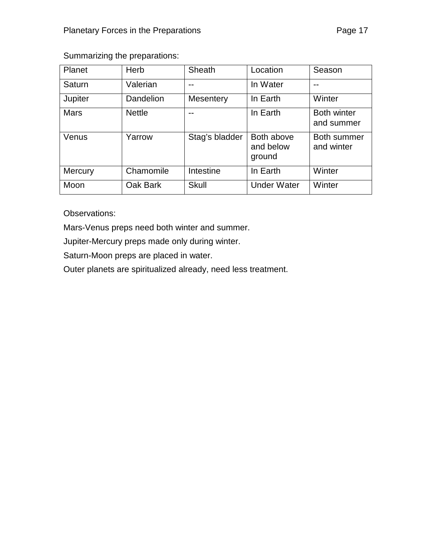## Summarizing the preparations:

| Planet         | Herb          | Sheath           | Location                          | Season                           |
|----------------|---------------|------------------|-----------------------------------|----------------------------------|
| Saturn         | Valerian      |                  | In Water                          |                                  |
| Jupiter        | Dandelion     | <b>Mesentery</b> | In Earth                          | Winter                           |
| <b>Mars</b>    | <b>Nettle</b> | --               | In Earth                          | <b>Both winter</b><br>and summer |
| Venus          | Yarrow        | Stag's bladder   | Both above<br>and below<br>ground | Both summer<br>and winter        |
| <b>Mercury</b> | Chamomile     | Intestine        | In Earth                          | Winter                           |
| Moon           | Oak Bark      | <b>Skull</b>     | <b>Under Water</b>                | Winter                           |

Observations:

Mars-Venus preps need both winter and summer.

Jupiter-Mercury preps made only during winter.

Saturn-Moon preps are placed in water.

Outer planets are spiritualized already, need less treatment.